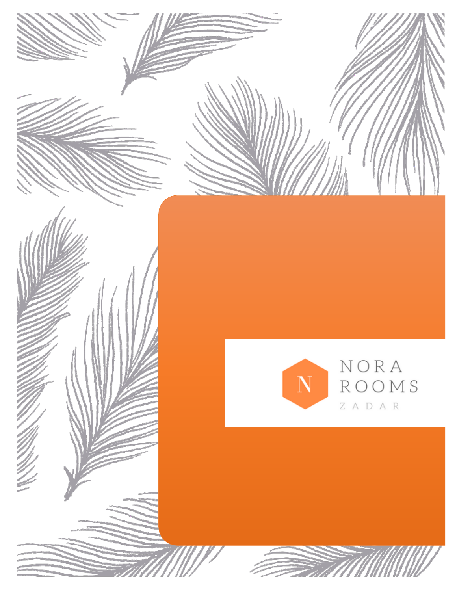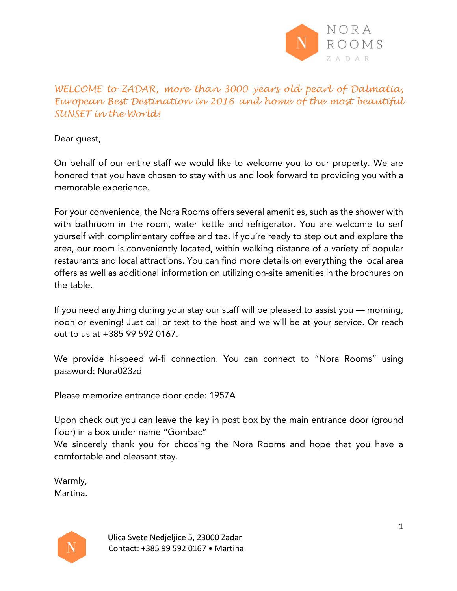

*WELCOME to ZADAR, more than 3000 years old pearl of Dalmatia, European Best Destination in 2016 and home of the most beautiful SUNSET in the World!* 

Dear guest,

On behalf of our entire staff we would like to welcome you to our property. We are honored that you have chosen to stay with us and look forward to providing you with a memorable experience.

For your convenience, the Nora Rooms offers several amenities, such as the shower with with bathroom in the room, water kettle and refrigerator. You are welcome to serf yourself with complimentary coffee and tea. If you're ready to step out and explore the area, our room is conveniently located, within walking distance of a variety of popular restaurants and local attractions. You can find more details on everything the local area offers as well as additional information on utilizing on-site amenities in the brochures on the table.

If you need anything during your stay our staff will be pleased to assist you — morning, noon or evening! Just call or text to the host and we will be at your service. Or reach out to us at +385 99 592 0167.

We provide hi-speed wi-fi connection. You can connect to "Nora Rooms" using password: Nora023zd

Please memorize entrance door code: 1957A

Upon check out you can leave the key in post box by the main entrance door (ground floor) in a box under name "Gombac"

We sincerely thank you for choosing the Nora Rooms and hope that you have a comfortable and pleasant stay.

Warmly, Martina.

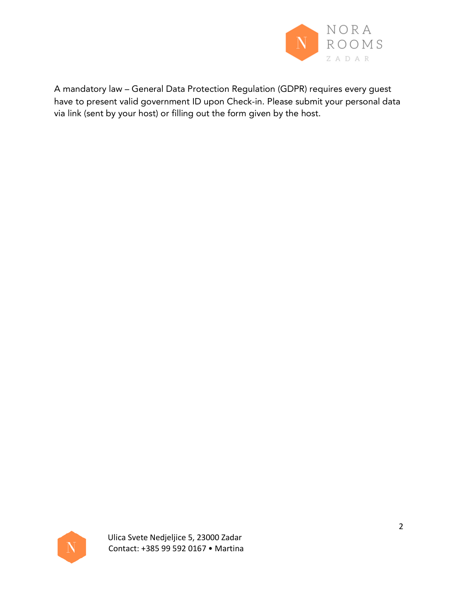

A mandatory law – General Data Protection Regulation (GDPR) requires every guest have to present valid government ID upon Check-in. Please submit your personal data via link (sent by your host) or filling out the form given by the host.

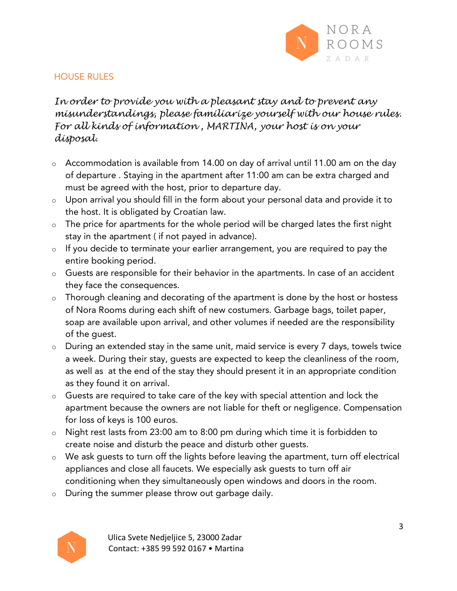

### HOUSE RULES

*In order to provide you with a pleasant stay and to prevent any misunderstandings, please familiarize yourself with our house rules. For all kinds of information , MARTINA, your host is on your disposal.*

- o Accommodation is available from 14.00 on day of arrival until 11.00 am on the day of departure . Staying in the apartment after 11:00 am can be extra charged and must be agreed with the host, prior to departure day.
- o Upon arrival you should fill in the form about your personal data and provide it to the host. It is obligated by Croatian law.
- $\circ$  The price for apartments for the whole period will be charged lates the first night stay in the apartment ( if not payed in advance).
- o If you decide to terminate your earlier arrangement, you are required to pay the entire booking period.
- o Guests are responsible for their behavior in the apartments. In case of an accident they face the consequences.
- o Thorough cleaning and decorating of the apartment is done by the host or hostess of Nora Rooms during each shift of new costumers. Garbage bags, toilet paper, soap are available upon arrival, and other volumes if needed are the responsibility of the guest.
- o During an extended stay in the same unit, maid service is every 7 days, towels twice a week. During their stay, guests are expected to keep the cleanliness of the room, as well as at the end of the stay they should present it in an appropriate condition as they found it on arrival.
- o Guests are required to take care of the key with special attention and lock the apartment because the owners are not liable for theft or negligence. Compensation for loss of keys is 100 euros.
- o Night rest lasts from 23:00 am to 8:00 pm during which time it is forbidden to create noise and disturb the peace and disturb other guests.
- o We ask guests to turn off the lights before leaving the apartment, turn off electrical appliances and close all faucets. We especially ask guests to turn off air conditioning when they simultaneously open windows and doors in the room.
- o During the summer please throw out garbage daily.

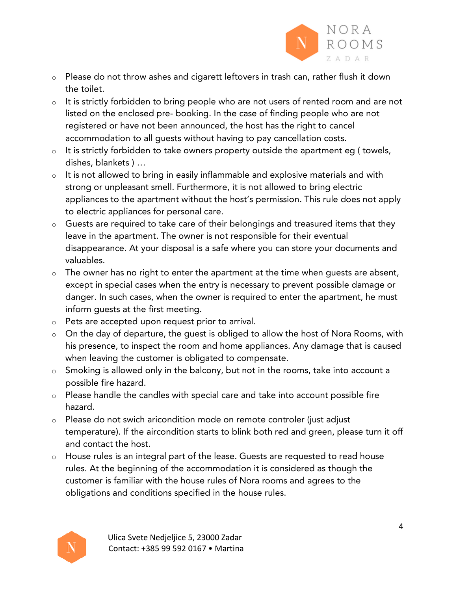

- o Please do not throw ashes and cigarett leftovers in trash can, rather flush it down the toilet.
- o It is strictly forbidden to bring people who are not users of rented room and are not listed on the enclosed pre- booking. In the case of finding people who are not registered or have not been announced, the host has the right to cancel accommodation to all guests without having to pay cancellation costs.
- o It is strictly forbidden to take owners property outside the apartment eg ( towels, dishes, blankets ) …
- o It is not allowed to bring in easily inflammable and explosive materials and with strong or unpleasant smell. Furthermore, it is not allowed to bring electric appliances to the apartment without the host's permission. This rule does not apply to electric appliances for personal care.
- o Guests are required to take care of their belongings and treasured items that they leave in the apartment. The owner is not responsible for their eventual disappearance. At your disposal is a safe where you can store your documents and valuables.
- $\circ$  The owner has no right to enter the apartment at the time when quests are absent, except in special cases when the entry is necessary to prevent possible damage or danger. In such cases, when the owner is required to enter the apartment, he must inform guests at the first meeting.
- o Pets are accepted upon request prior to arrival.
- o On the day of departure, the guest is obliged to allow the host of Nora Rooms, with his presence, to inspect the room and home appliances. Any damage that is caused when leaving the customer is obligated to compensate.
- o Smoking is allowed only in the balcony, but not in the rooms, take into account a possible fire hazard.
- o Please handle the candles with special care and take into account possible fire hazard.
- o Please do not swich aricondition mode on remote controler (just adjust temperature). If the aircondition starts to blink both red and green, please turn it off and contact the host.
- o House rules is an integral part of the lease. Guests are requested to read house rules. At the beginning of the accommodation it is considered as though the customer is familiar with the house rules of Nora rooms and agrees to the obligations and conditions specified in the house rules.

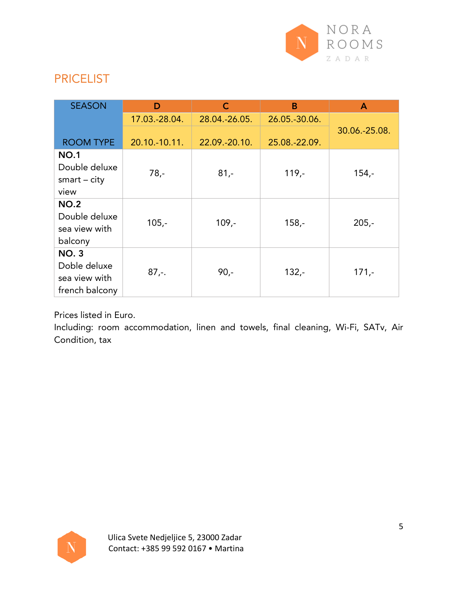

# PRICELIST

| <b>SEASON</b>                                                  | D             | $\mathsf{C}$  | B             | $\mathsf{A}$  |
|----------------------------------------------------------------|---------------|---------------|---------------|---------------|
|                                                                | 17.03.-28.04. | 28.04.-26.05. | 26.05.-30.06. |               |
| <b>ROOM TYPE</b>                                               | 20.10.-10.11. | 22.09.-20.10. | 25.08.-22.09. | 30.06.-25.08. |
| <b>NO.1</b><br>Double deluxe<br>$smart - city$<br>view         | $78 -$        | $81 -$        | $119,-$       | $154,-$       |
| <b>NO.2</b><br>Double deluxe<br>sea view with<br>balcony       | $105,-$       | $109 -$       | $158,-$       | $205 -$       |
| <b>NO.3</b><br>Doble deluxe<br>sea view with<br>french balcony | $87. -$       | $90 -$        | $132 -$       | $171,-$       |

Prices listed in Euro.

Including: room accommodation, linen and towels, final cleaning, Wi-Fi, SATv, Air Condition, tax

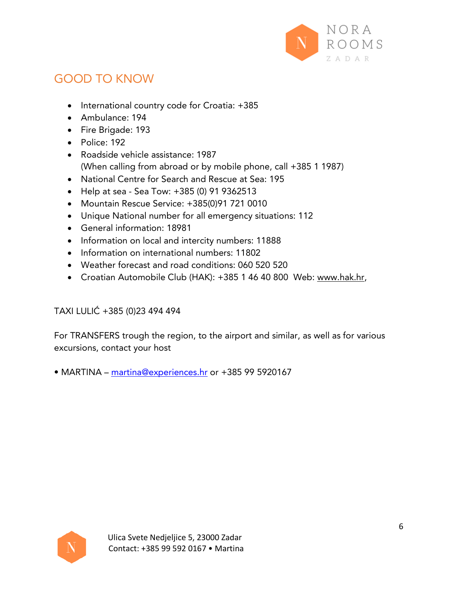

# GOOD TO KNOW

- International country code for Croatia: +385
- Ambulance: 194
- Fire Brigade: 193
- Police: 192
- Roadside vehicle assistance: 1987 (When calling from abroad or by mobile phone, call +385 1 1987)
- National Centre for Search and Rescue at Sea: 195
- Help at sea Sea Tow: +385 (0) 91 9362513
- Mountain Rescue Service: +385(0)91 721 0010
- Unique National number for all emergency situations: 112
- General information: 18981
- Information on local and intercity numbers: 11888
- Information on international numbers: 11802
- Weather forecast and road conditions: 060 520 520
- Croatian Automobile Club (HAK): +385 1 46 40 800 Web: www.hak.hr,

# TAXI LULIĆ +385 (0)23 494 494

For TRANSFERS trough the region, to the airport and similar, as well as for various excursions, contact your host

• MARTINA – martina@experiences.hr or +385 99 5920167

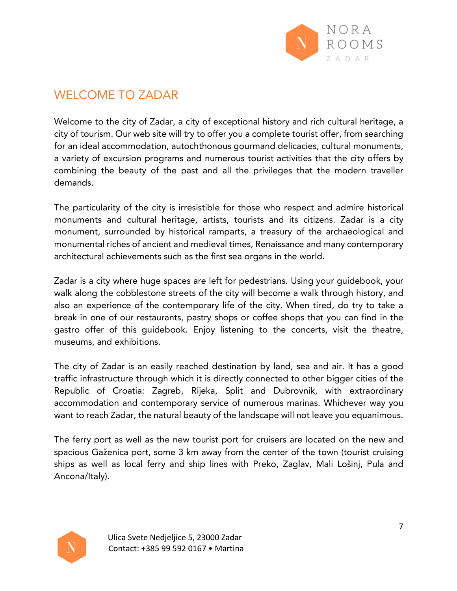

# WELCOME TO ZADAR

Welcome to the city of Zadar, a city of exceptional history and rich cultural heritage, a city of tourism. Our web site will try to offer you a complete tourist offer, from searching for an ideal accommodation, autochthonous gourmand delicacies, cultural monuments, a variety of excursion programs and numerous tourist activities that the city offers by combining the beauty of the past and all the privileges that the modern traveller demands.

The particularity of the city is irresistible for those who respect and admire historical monuments and cultural heritage, artists, tourists and its citizens. Zadar is a city monument, surrounded by historical ramparts, a treasury of the archaeological and monumental riches of ancient and medieval times, Renaissance and many contemporary architectural achievements such as the first sea organs in the world.

Zadar is a city where huge spaces are left for pedestrians. Using your guidebook, your walk along the cobblestone streets of the city will become a walk through history, and also an experience of the contemporary life of the city. When tired, do try to take a break in one of our restaurants, pastry shops or coffee shops that you can find in the gastro offer of this guidebook. Enjoy listening to the concerts, visit the theatre, museums, and exhibitions.

The city of Zadar is an easily reached destination by land, sea and air. It has a good traffic infrastructure through which it is directly connected to other bigger cities of the Republic of Croatia: Zagreb, Rijeka, Split and Dubrovnik, with extraordinary accommodation and contemporary service of numerous marinas. Whichever way you want to reach Zadar, the natural beauty of the landscape will not leave you equanimous.

The ferry port as well as the new tourist port for cruisers are located on the new and spacious Gaženica port, some 3 km away from the center of the town (tourist cruising ships as well as local ferry and ship lines with Preko, Zaglav, Mali Lošinj, Pula and Ancona/Italy).

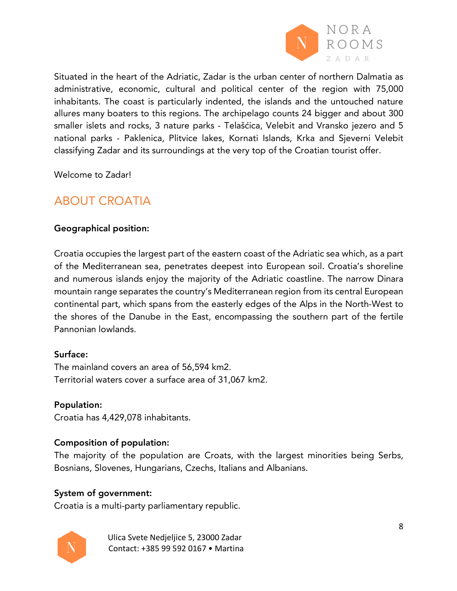

Situated in the heart of the Adriatic, Zadar is the urban center of northern Dalmatia as administrative, economic, cultural and political center of the region with 75,000 inhabitants. The coast is particularly indented, the islands and the untouched nature allures many boaters to this regions. The archipelago counts 24 bigger and about 300 smaller islets and rocks, 3 nature parks - Telašćica, Velebit and Vransko jezero and 5 national parks - Paklenica, Plitvice lakes, Kornati Islands, Krka and Sjeverni Velebit classifying Zadar and its surroundings at the very top of the Croatian tourist offer.

Welcome to Zadar!

# ABOUT CROATIA

### Geographical position:

Croatia occupies the largest part of the eastern coast of the Adriatic sea which, as a part of the Mediterranean sea, penetrates deepest into European soil. Croatia's shoreline and numerous islands enjoy the majority of the Adriatic coastline. The narrow Dinara mountain range separates the country's Mediterranean region from its central European continental part, which spans from the easterly edges of the Alps in the North-West to the shores of the Danube in the East, encompassing the southern part of the fertile Pannonian lowlands.

#### Surface:

The mainland covers an area of 56,594 km2. Territorial waters cover a surface area of 31,067 km2.

#### Population:

Croatia has 4,429,078 inhabitants.

### Composition of population:

The majority of the population are Croats, with the largest minorities being Serbs, Bosnians, Slovenes, Hungarians, Czechs, Italians and Albanians.

#### System of government:

Croatia is a multi-party parliamentary republic.



Ulica Svete Nedjeljice 5, 23000 Zadar Contact: +385 99 592 0167 • Martina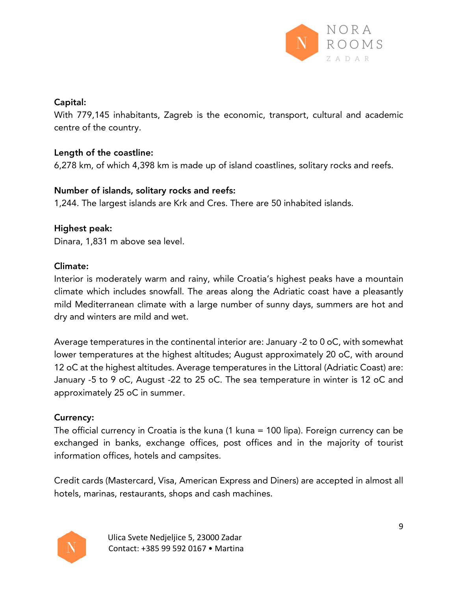

## Capital:

With 779,145 inhabitants, Zagreb is the economic, transport, cultural and academic centre of the country.

## Length of the coastline:

6,278 km, of which 4,398 km is made up of island coastlines, solitary rocks and reefs.

## Number of islands, solitary rocks and reefs:

1,244. The largest islands are Krk and Cres. There are 50 inhabited islands.

## Highest peak:

Dinara, 1,831 m above sea level.

## Climate:

Interior is moderately warm and rainy, while Croatia's highest peaks have a mountain climate which includes snowfall. The areas along the Adriatic coast have a pleasantly mild Mediterranean climate with a large number of sunny days, summers are hot and dry and winters are mild and wet.

Average temperatures in the continental interior are: January -2 to 0 oC, with somewhat lower temperatures at the highest altitudes; August approximately 20 oC, with around 12 oC at the highest altitudes. Average temperatures in the Littoral (Adriatic Coast) are: January -5 to 9 oC, August -22 to 25 oC. The sea temperature in winter is 12 oC and approximately 25 oC in summer.

# Currency:

The official currency in Croatia is the kuna (1 kuna = 100 lipa). Foreign currency can be exchanged in banks, exchange offices, post offices and in the majority of tourist information offices, hotels and campsites.

Credit cards (Mastercard, Visa, American Express and Diners) are accepted in almost all hotels, marinas, restaurants, shops and cash machines.

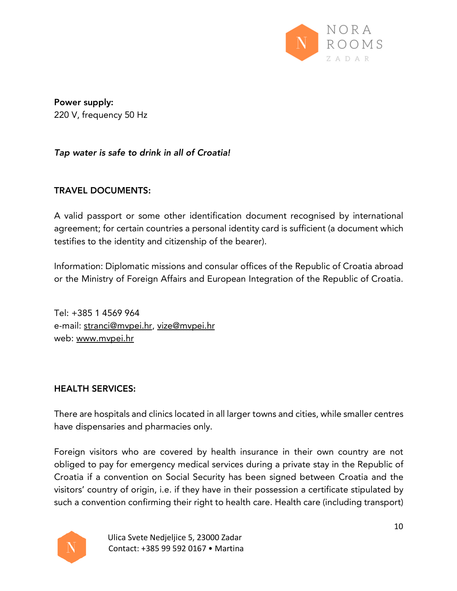

Power supply: 220 V, frequency 50 Hz

*Tap water is safe to drink in all of Croatia!*

## TRAVEL DOCUMENTS:

A valid passport or some other identification document recognised by international agreement; for certain countries a personal identity card is sufficient (a document which testifies to the identity and citizenship of the bearer).

Information: Diplomatic missions and consular offices of the Republic of Croatia abroad or the Ministry of Foreign Affairs and European Integration of the Republic of Croatia.

Tel: +385 1 4569 964 e-mail: stranci@mvpei.hr, vize@mvpei.hr web: www.mvpei.hr

#### HEALTH SERVICES:

There are hospitals and clinics located in all larger towns and cities, while smaller centres have dispensaries and pharmacies only.

Foreign visitors who are covered by health insurance in their own country are not obliged to pay for emergency medical services during a private stay in the Republic of Croatia if a convention on Social Security has been signed between Croatia and the visitors' country of origin, i.e. if they have in their possession a certificate stipulated by such a convention confirming their right to health care. Health care (including transport)



Ulica Svete Nedjeljice 5, 23000 Zadar Contact: +385 99 592 0167 • Martina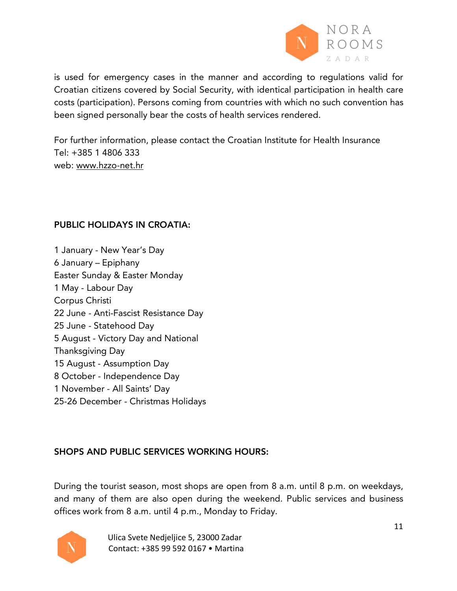

is used for emergency cases in the manner and according to regulations valid for Croatian citizens covered by Social Security, with identical participation in health care costs (participation). Persons coming from countries with which no such convention has been signed personally bear the costs of health services rendered.

For further information, please contact the Croatian Institute for Health Insurance Tel: +385 1 4806 333 web: www.hzzo-net.hr

#### PUBLIC HOLIDAYS IN CROATIA:

 January - New Year's Day January – Epiphany Easter Sunday & Easter Monday May - Labour Day Corpus Christi June - Anti-Fascist Resistance Day June - Statehood Day August - Victory Day and National Thanksgiving Day August - Assumption Day October - Independence Day November - All Saints' Day 25-26 December - Christmas Holidays

### SHOPS AND PUBLIC SERVICES WORKING HOURS:

During the tourist season, most shops are open from 8 a.m. until 8 p.m. on weekdays, and many of them are also open during the weekend. Public services and business offices work from 8 a.m. until 4 p.m., Monday to Friday.



Ulica Svete Nedjeljice 5, 23000 Zadar Contact: +385 99 592 0167 • Martina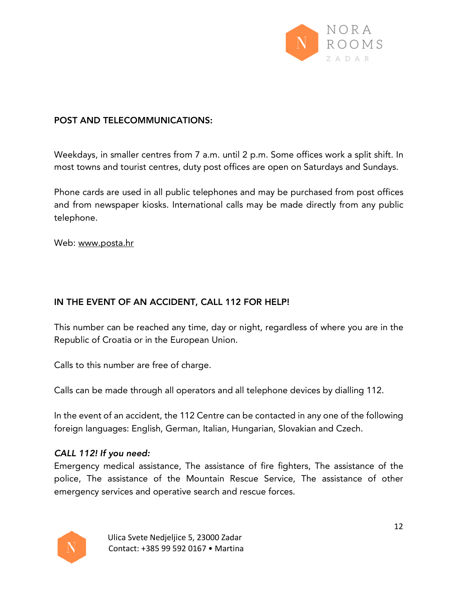

## POST AND TELECOMMUNICATIONS:

Weekdays, in smaller centres from 7 a.m. until 2 p.m. Some offices work a split shift. In most towns and tourist centres, duty post offices are open on Saturdays and Sundays.

Phone cards are used in all public telephones and may be purchased from post offices and from newspaper kiosks. International calls may be made directly from any public telephone.

Web: www.posta.hr

# IN THE EVENT OF AN ACCIDENT, CALL 112 FOR HELP!

This number can be reached any time, day or night, regardless of where you are in the Republic of Croatia or in the European Union.

Calls to this number are free of charge.

Calls can be made through all operators and all telephone devices by dialling 112.

In the event of an accident, the 112 Centre can be contacted in any one of the following foreign languages: English, German, Italian, Hungarian, Slovakian and Czech.

### *CALL 112! If you need:*

Emergency medical assistance, The assistance of fire fighters, The assistance of the police, The assistance of the Mountain Rescue Service, The assistance of other emergency services and operative search and rescue forces.